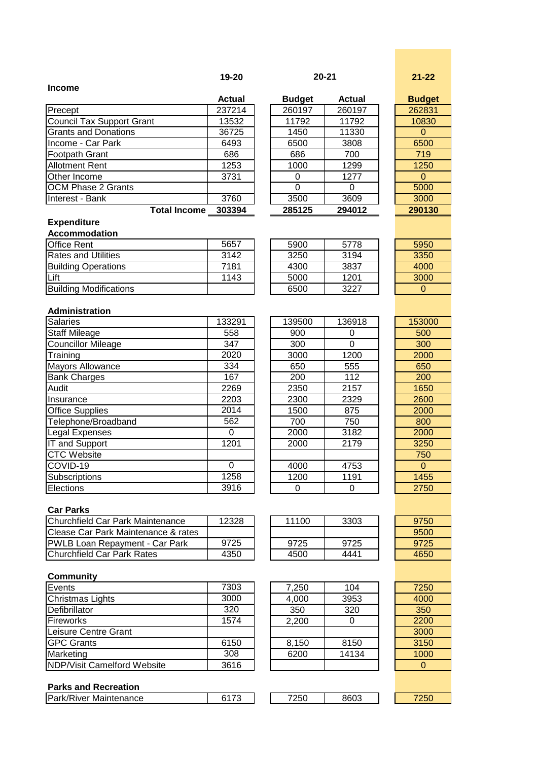| $20 - 21$ | $21 - 22$ |
|-----------|-----------|
|           |           |

$$
21-22
$$

|                             | <b>Actual</b> | <b>Budget</b> | <b>Actual</b> | <b>Budget</b> |
|-----------------------------|---------------|---------------|---------------|---------------|
| Precept                     | 237214        | 260197        | 260197        | 262831        |
| Council Tax Support Grant   | 13532         | 11792         | 11792         | 10830         |
| <b>Grants and Donations</b> | 36725         | 1450          | 11330         | 0             |
| Income - Car Park           | 6493          | 6500          | 3808          | 6500          |
| <b>Footpath Grant</b>       | 686           | 686           | 700           | 719           |
| <b>Allotment Rent</b>       | 1253          | 1000          | 1299          | 1250          |
| Other Income                | 3731          | 0             | 1277          | 0             |
| <b>OCM Phase 2 Grants</b>   |               | 0             | O             | 5000          |
| Interest - Bank             | 3760          | 3500          | 3609          | 3000          |
| <b>Total Income</b>         | 303394        | 285125        | 294012        | 290130        |

| Actual | <b>Budget</b> | Actual | <b>Budget</b> |
|--------|---------------|--------|---------------|
| 237214 | 260197        | 260197 | 262831        |
| 13532  | 11792         | 11792  | 10830         |
| 36725  | 1450          | 11330  |               |
| 6493   | 6500          | 3808   | 6500          |
| 686    | 686           | 700    | 719           |
| 1253   | 1000          | 1299   | 1250          |
| 3731   |               | 1277   |               |
|        |               |        | 5000          |
| 3760   | 3500          | 3609   | 3000          |
| 303394 | 285125        | 294012 | 290130        |
|        |               |        |               |

| <b>Budget</b> |
|---------------|
| 262831        |
| 10830         |
| 0             |
| 6500          |
| 719           |
| 1250          |
| ი             |
| 5000          |
| 3000          |
| 290130        |

#### **Expenditure Accommodation**

**Income**

| AUUUIIIIIUUAUUII              |      |      |      |      |
|-------------------------------|------|------|------|------|
| <b>Office Rent</b>            | 5657 | 5900 | 5778 | 5950 |
| <b>Rates and Utilities</b>    | 3142 | 3250 | 3194 | 3350 |
| <b>Building Operations</b>    | 7181 | 4300 | 3837 | 4000 |
| Lift                          | 1143 | 5000 | 1201 | 3000 |
| <b>Building Modifications</b> |      | 6500 | 3227 |      |

| 5778 |
|------|
| 3194 |
| 3837 |
| 1201 |
| 3227 |
|      |

# **Administration**

| <b>Salaries</b>           | 133291   | 139500 | 136918 | 153000   |
|---------------------------|----------|--------|--------|----------|
| <b>Staff Mileage</b>      | 558      | 900    | 0      | 500      |
| <b>Councillor Mileage</b> | 347      | 300    | 0      | 300      |
| Training                  | 2020     | 3000   | 1200   | 2000     |
| <b>Mayors Allowance</b>   | 334      | 650    | 555    | 650      |
| <b>Bank Charges</b>       | 167      | 200    | 112    | 200      |
| Audit                     | 2269     | 2350   | 2157   | 1650     |
| Insurance                 | 2203     | 2300   | 2329   | 2600     |
| <b>Office Supplies</b>    | 2014     | 1500   | 875    | 2000     |
| Telephone/Broadband       | 562      | 700    | 750    | 800      |
| Legal Expenses            | 0        | 2000   | 3182   | 2000     |
| IT and Support            | 1201     | 2000   | 2179   | 3250     |
| <b>CTC Website</b>        |          |        |        | 750      |
| COVID-19                  | $\Omega$ | 4000   | 4753   | $\Omega$ |
| Subscriptions             | 1258     | 1200   | 1191   | 1455     |
| Elections                 | 3916     | 0      | 0      | 2750     |

| 139500 | 136918 |
|--------|--------|
| 900    | 0      |
| 300    | 0      |
| 3000   | 1200   |
| 650    | 555    |
| 200    | 112    |
| 2350   | 2157   |
| 2300   | 2329   |
| 1500   | 875    |
| 700    | 750    |
| 2000   | 3182   |
| 2000   | 2179   |
|        |        |
| 4000   | 4753   |
| 1200   | 1191   |
| 0      | ი      |
|        |        |

| 153000 |
|--------|
| 500    |
| 300    |
| 2000   |
| 650    |
| 200    |
| 1650   |
| 2600   |
| 2000   |
| 800    |
| 2000   |
| 3250   |
| 750    |
| 0      |
| 1455   |
| 2750   |
|        |

## **Car Parks**

| <b>IChurchfield Car Park Maintenance</b> | 12328 | 11100 | 3303 | 9750 |
|------------------------------------------|-------|-------|------|------|
| Clease Car Park Maintenance & rates      |       |       |      | 9500 |
| <b>PWLB Loan Repayment - Car Park</b>    | 9725  | 9725  | 9725 | 9725 |
| IChurchfield Car Park Rates              | 4350  | 4500  | 4441 | 4650 |

| 11100 | 3303 |  |
|-------|------|--|
|       |      |  |
| 9725  | 9725 |  |
| 4500  | 4441 |  |

### **Community**

| Events                      | 7303 | 7,250 | 104   | 7250 |
|-----------------------------|------|-------|-------|------|
| Christmas Lights            | 3000 | 4,000 | 3953  | 4000 |
| Defibrillator               | 320  | 350   | 320   | 350  |
| <b>Fireworks</b>            | 1574 | 2,200 |       | 2200 |
| Leisure Centre Grant        |      |       |       | 3000 |
| <b>GPC Grants</b>           | 6150 | 8,150 | 8150  | 3150 |
| Marketing                   | 308  | 6200  | 14134 | 1000 |
| NDP/Visit Camelford Website | 3616 |       |       |      |

## **Parks and Recreation**

| <b>Park/River Maintenance</b> | $1 - 0$<br>. .<br>. . | 7250 | 8603 | $- - -$<br>ы |
|-------------------------------|-----------------------|------|------|--------------|
|                               |                       |      |      |              |

| 7,250 | 104   |
|-------|-------|
| 4,000 | 3953  |
| 350   | 320   |
| 2,200 | 0     |
|       |       |
| 8,150 | 8150  |
| 6200  | 14134 |
|       |       |

| $\sim$ |  |
|--------|--|
|        |  |

| 2000             |
|------------------|
| 800              |
| 2000             |
| 3250             |
| 750              |
| 0                |
| 1455             |
| 2750             |
|                  |
|                  |
| 9750             |
| 9500             |
| 9725             |
| 10E <sub>0</sub> |

| 7250 |
|------|
| 4000 |
| 350  |
| 2200 |
| 3000 |
| 3150 |
| 1000 |
| 0    |
|      |